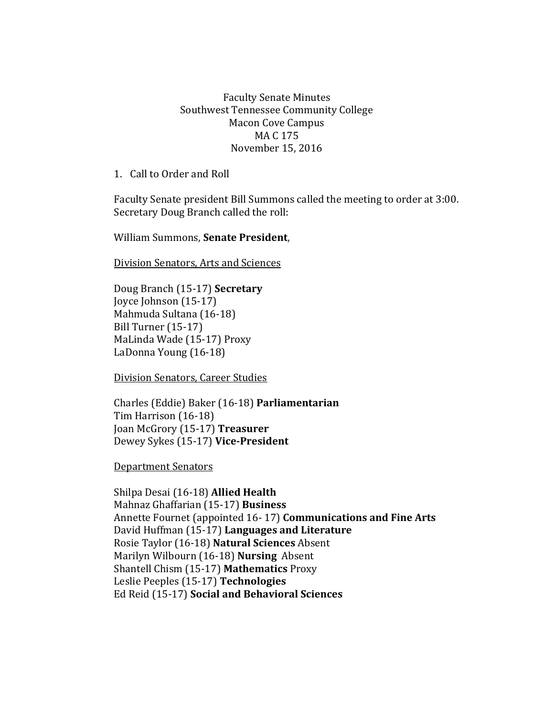## Faculty Senate Minutes Southwest Tennessee Community College Macon Cove Campus MA C 175 November 15, 2016

1. Call to Order and Roll

Faculty Senate president Bill Summons called the meeting to order at 3:00. Secretary Doug Branch called the roll:

William Summons, **Senate President**,

Division Senators, Arts and Sciences

Doug Branch (15-17) **Secretary** Joyce Johnson (15-17) Mahmuda Sultana (16-18) Bill Turner (15-17) MaLinda Wade (15-17) Proxy LaDonna Young (16-18)

Division Senators, Career Studies

Charles (Eddie) Baker (16-18) **Parliamentarian** Tim Harrison (16-18) Joan McGrory (15-17) **Treasurer** Dewey Sykes (15-17) **Vice-President**

Department Senators

Shilpa Desai (16-18) **Allied Health** Mahnaz Ghaffarian (15-17) **Business** Annette Fournet (appointed 16- 17) **Communications and Fine Arts** David Huffman (15-17) **Languages and Literature** Rosie Taylor (16-18) **Natural Sciences** Absent Marilyn Wilbourn (16-18) **Nursing** Absent Shantell Chism (15-17) **Mathematics** Proxy Leslie Peeples (15-17) **Technologies**  Ed Reid (15-17) **Social and Behavioral Sciences**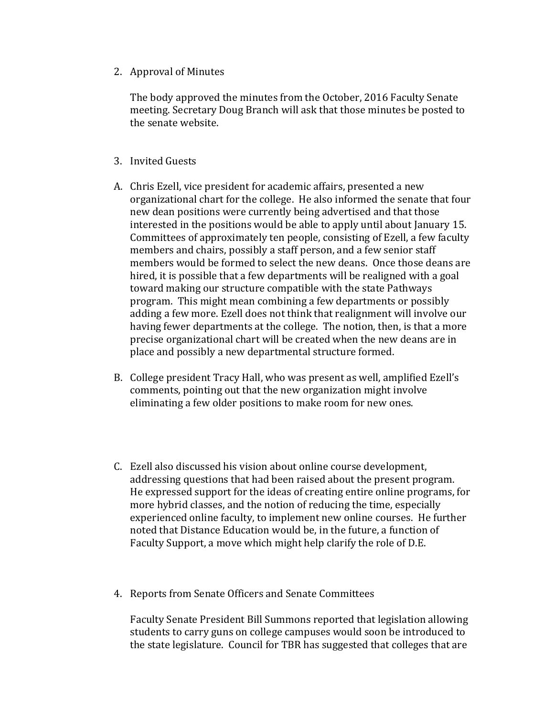2. Approval of Minutes

The body approved the minutes from the October, 2016 Faculty Senate meeting. Secretary Doug Branch will ask that those minutes be posted to the senate website.

- 3. Invited Guests
- A. Chris Ezell, vice president for academic affairs, presented a new organizational chart for the college. He also informed the senate that four new dean positions were currently being advertised and that those interested in the positions would be able to apply until about January 15. Committees of approximately ten people, consisting of Ezell, a few faculty members and chairs, possibly a staff person, and a few senior staff members would be formed to select the new deans. Once those deans are hired, it is possible that a few departments will be realigned with a goal toward making our structure compatible with the state Pathways program. This might mean combining a few departments or possibly adding a few more. Ezell does not think that realignment will involve our having fewer departments at the college. The notion, then, is that a more precise organizational chart will be created when the new deans are in place and possibly a new departmental structure formed.
- B. College president Tracy Hall, who was present as well, amplified Ezell's comments, pointing out that the new organization might involve eliminating a few older positions to make room for new ones.
- C. Ezell also discussed his vision about online course development, addressing questions that had been raised about the present program. He expressed support for the ideas of creating entire online programs, for more hybrid classes, and the notion of reducing the time, especially experienced online faculty, to implement new online courses. He further noted that Distance Education would be, in the future, a function of Faculty Support, a move which might help clarify the role of D.E.
- 4. Reports from Senate Officers and Senate Committees

Faculty Senate President Bill Summons reported that legislation allowing students to carry guns on college campuses would soon be introduced to the state legislature. Council for TBR has suggested that colleges that are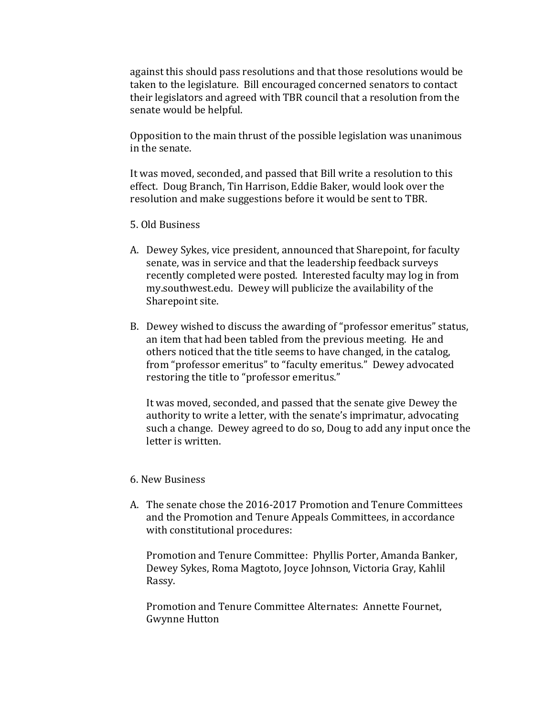against this should pass resolutions and that those resolutions would be taken to the legislature. Bill encouraged concerned senators to contact their legislators and agreed with TBR council that a resolution from the senate would be helpful.

Opposition to the main thrust of the possible legislation was unanimous in the senate.

It was moved, seconded, and passed that Bill write a resolution to this effect. Doug Branch, Tin Harrison, Eddie Baker, would look over the resolution and make suggestions before it would be sent to TBR.

- 5. Old Business
- A. Dewey Sykes, vice president, announced that Sharepoint, for faculty senate, was in service and that the leadership feedback surveys recently completed were posted. Interested faculty may log in from my.southwest.edu. Dewey will publicize the availability of the Sharepoint site.
- B. Dewey wished to discuss the awarding of "professor emeritus" status, an item that had been tabled from the previous meeting. He and others noticed that the title seems to have changed, in the catalog, from "professor emeritus" to "faculty emeritus." Dewey advocated restoring the title to "professor emeritus."

It was moved, seconded, and passed that the senate give Dewey the authority to write a letter, with the senate's imprimatur, advocating such a change. Dewey agreed to do so, Doug to add any input once the letter is written.

## 6. New Business

A. The senate chose the 2016-2017 Promotion and Tenure Committees and the Promotion and Tenure Appeals Committees, in accordance with constitutional procedures:

Promotion and Tenure Committee: Phyllis Porter, Amanda Banker, Dewey Sykes, Roma Magtoto, Joyce Johnson, Victoria Gray, Kahlil Rassy.

Promotion and Tenure Committee Alternates: Annette Fournet, Gwynne Hutton